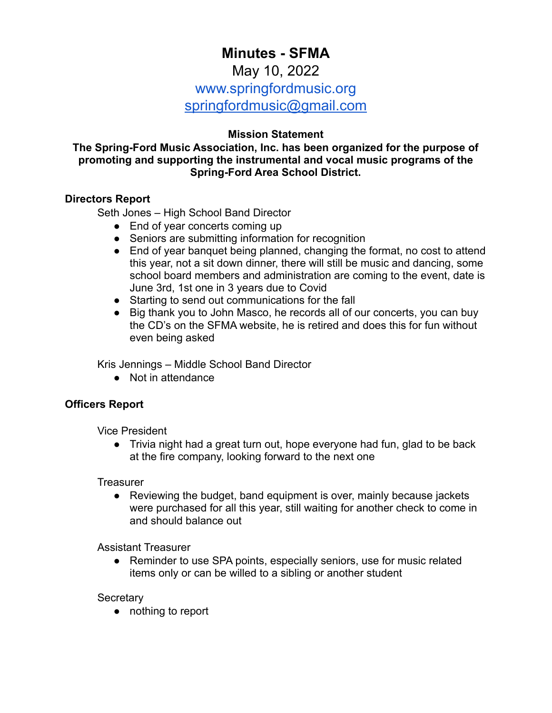# **Minutes - SFMA**

# May 10, 2022

www.springfordmusic.org

[springfordmusic@gmail.com](mailto:springfordmusic@gmail.com)

# **Mission Statement**

**The Spring-Ford Music Association, Inc. has been organized for the purpose of promoting and supporting the instrumental and vocal music programs of the Spring-Ford Area School District.**

# **Directors Report**

Seth Jones – High School Band Director

- End of year concerts coming up
- Seniors are submitting information for recognition
- End of year banquet being planned, changing the format, no cost to attend this year, not a sit down dinner, there will still be music and dancing, some school board members and administration are coming to the event, date is June 3rd, 1st one in 3 years due to Covid
- Starting to send out communications for the fall
- Big thank you to John Masco, he records all of our concerts, you can buy the CD's on the SFMA website, he is retired and does this for fun without even being asked

Kris Jennings – Middle School Band Director

● Not in attendance

# **Officers Report**

Vice President

• Trivia night had a great turn out, hope everyone had fun, glad to be back at the fire company, looking forward to the next one

**Treasurer** 

• Reviewing the budget, band equipment is over, mainly because jackets were purchased for all this year, still waiting for another check to come in and should balance out

Assistant Treasurer

● Reminder to use SPA points, especially seniors, use for music related items only or can be willed to a sibling or another student

**Secretary** 

● nothing to report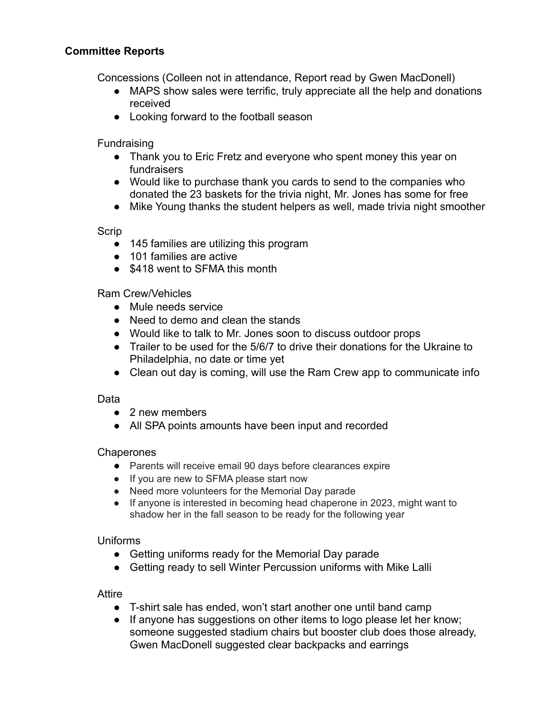# **Committee Reports**

Concessions (Colleen not in attendance, Report read by Gwen MacDonell)

- MAPS show sales were terrific, truly appreciate all the help and donations received
- Looking forward to the football season

Fundraising

- Thank you to Eric Fretz and everyone who spent money this year on fundraisers
- Would like to purchase thank you cards to send to the companies who donated the 23 baskets for the trivia night, Mr. Jones has some for free
- Mike Young thanks the student helpers as well, made trivia night smoother

Scrip

- 145 families are utilizing this program
- 101 families are active
- \$418 went to SFMA this month

Ram Crew/Vehicles

- Mule needs service
- Need to demo and clean the stands
- Would like to talk to Mr. Jones soon to discuss outdoor props
- Trailer to be used for the 5/6/7 to drive their donations for the Ukraine to Philadelphia, no date or time yet
- Clean out day is coming, will use the Ram Crew app to communicate info

#### Data

- 2 new members
- All SPA points amounts have been input and recorded

#### **Chaperones**

- Parents will receive email 90 days before clearances expire
- If you are new to SFMA please start now
- Need more volunteers for the Memorial Day parade
- If anyone is interested in becoming head chaperone in 2023, might want to shadow her in the fall season to be ready for the following year

#### Uniforms

- Getting uniforms ready for the Memorial Day parade
- Getting ready to sell Winter Percussion uniforms with Mike Lalli

#### Attire

- T-shirt sale has ended, won't start another one until band camp
- If anyone has suggestions on other items to logo please let her know; someone suggested stadium chairs but booster club does those already, Gwen MacDonell suggested clear backpacks and earrings